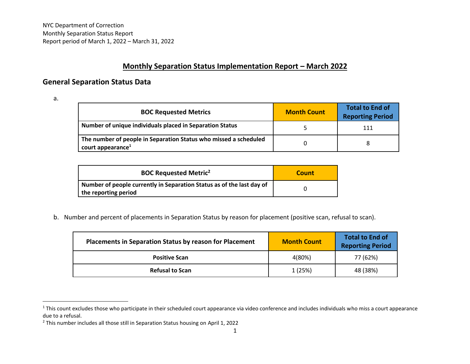NYC Department of Correction Monthly Separation Status Report Report period of March 1, 2022 – March 31, 2022

## **Monthly Separation Status Implementation Report – March 2022**

## **General Separation Status Data**

a.

| <b>BOC Requested Metrics</b>                                                                      | <b>Month Count</b> | Total to End of<br><b>Reporting Period</b> |
|---------------------------------------------------------------------------------------------------|--------------------|--------------------------------------------|
| Number of unique individuals placed in Separation Status                                          |                    | 111                                        |
| The number of people in Separation Status who missed a scheduled<br>court appearance <sup>1</sup> |                    |                                            |

| <b>BOC Requested Metric<sup>2</sup></b>                                                       | Count |
|-----------------------------------------------------------------------------------------------|-------|
| Number of people currently in Separation Status as of the last day of<br>the reporting period |       |

b. Number and percent of placements in Separation Status by reason for placement (positive scan, refusal to scan).

| <b>Placements in Separation Status by reason for Placement</b> | <b>Month Count</b> | <b>Total to End of</b><br><b>Reporting Period</b> |
|----------------------------------------------------------------|--------------------|---------------------------------------------------|
| <b>Positive Scan</b>                                           | 4(80%)             | 77 (62%)                                          |
| <b>Refusal to Scan</b>                                         | 1 (25%)            | 48 (38%)                                          |

<sup>&</sup>lt;sup>1</sup> This count excludes those who participate in their scheduled court appearance via video conference and includes individuals who miss a court appearance due to a refusal.

<sup>2</sup> This number includes all those still in Separation Status housing on April 1, 2022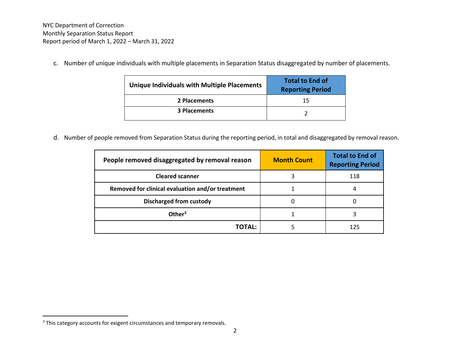c. Number of unique individuals with multiple placements in Separation Status disaggregated by number of placements.

| <b>Unique Individuals with Multiple Placements</b> | <b>Total to End of</b><br><b>Reporting Period</b> |
|----------------------------------------------------|---------------------------------------------------|
| 2 Placements                                       | 15                                                |
| <b>3 Placements</b>                                |                                                   |

d. Number of people removed from Separation Status during the reporting period, in total and disaggregated by removal reason.

| People removed disaggregated by removal reason   | <b>Month Count</b> | <b>Total to End of</b><br><b>Reporting Period</b> |
|--------------------------------------------------|--------------------|---------------------------------------------------|
| <b>Cleared scanner</b>                           |                    | 118                                               |
| Removed for clinical evaluation and/or treatment |                    |                                                   |
| <b>Discharged from custody</b>                   |                    |                                                   |
| Other <sup>3</sup>                               |                    |                                                   |
| TOTAL:                                           |                    | 125                                               |

<sup>&</sup>lt;sup>3</sup> This category accounts for exigent circumstances and temporary removals.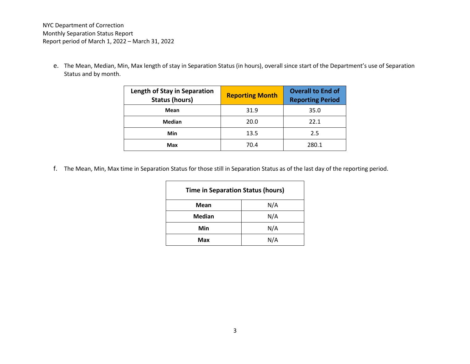NYC Department of Correction Monthly Separation Status Report Report period of March 1, 2022 – March 31, 2022

e. The Mean, Median, Min, Max length of stay in Separation Status (in hours), overall since start of the Department's use of Separation Status and by month.

| Length of Stay in Separation<br><b>Status (hours)</b> | <b>Reporting Month</b> | <b>Overall to End of</b><br><b>Reporting Period</b> |
|-------------------------------------------------------|------------------------|-----------------------------------------------------|
| Mean                                                  | 31.9                   | 35.0                                                |
| Median                                                | 20.0                   | 22.1                                                |
| Min                                                   | 13.5                   | 2.5                                                 |
| Max                                                   | 70.4                   | 280.1                                               |

f. The Mean, Min, Max time in Separation Status for those still in Separation Status as of the last day of the reporting period.

| <b>Time in Separation Status (hours)</b> |     |  |
|------------------------------------------|-----|--|
| Mean                                     | N/A |  |
| <b>Median</b>                            | N/A |  |
| Min                                      | N/A |  |
| Max                                      | N/A |  |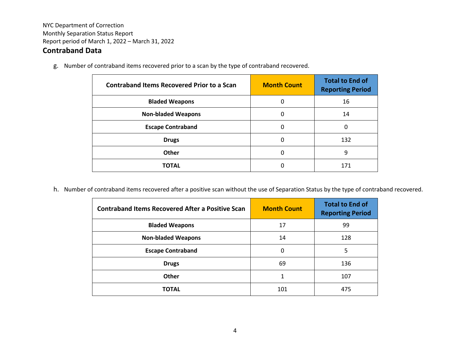## **Contraband Data**

g. Number of contraband items recovered prior to a scan by the type of contraband recovered.

| <b>Contraband Items Recovered Prior to a Scan</b> | <b>Month Count</b> | <b>Total to End of</b><br><b>Reporting Period</b> |
|---------------------------------------------------|--------------------|---------------------------------------------------|
| <b>Bladed Weapons</b>                             | 0                  | 16                                                |
| <b>Non-bladed Weapons</b>                         | 0                  | 14                                                |
| <b>Escape Contraband</b>                          | 0                  | 0                                                 |
| <b>Drugs</b>                                      | 0                  | 132                                               |
| Other                                             | 0                  | 9                                                 |
| <b>TOTAL</b>                                      | 0                  | 171                                               |

h. Number of contraband items recovered after a positive scan without the use of Separation Status by the type of contraband recovered.

| <b>Contraband Items Recovered After a Positive Scan</b> | <b>Month Count</b> | <b>Total to End of</b><br><b>Reporting Period</b> |
|---------------------------------------------------------|--------------------|---------------------------------------------------|
| <b>Bladed Weapons</b>                                   | 17                 | 99                                                |
| <b>Non-bladed Weapons</b>                               | 14                 | 128                                               |
| <b>Escape Contraband</b>                                | 0                  | 5                                                 |
| <b>Drugs</b>                                            | 69                 | 136                                               |
| <b>Other</b>                                            |                    | 107                                               |
| TOTAL                                                   | 101                | 475                                               |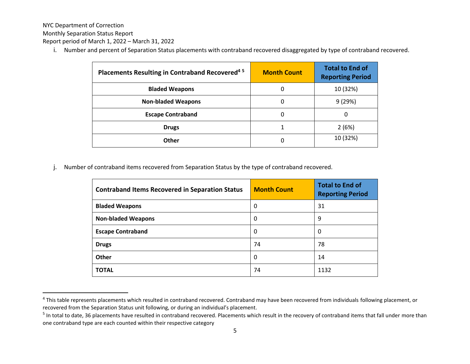NYC Department of Correction

Monthly Separation Status Report

Report period of March 1, 2022 – March 31, 2022

i. Number and percent of Separation Status placements with contraband recovered disaggregated by type of contraband recovered.

| Placements Resulting in Contraband Recovered <sup>45</sup> | <b>Month Count</b> | <b>Total to End of</b><br><b>Reporting Period</b> |
|------------------------------------------------------------|--------------------|---------------------------------------------------|
| <b>Bladed Weapons</b>                                      | 0                  | 10 (32%)                                          |
| <b>Non-bladed Weapons</b>                                  | 0                  | 9(29%)                                            |
| <b>Escape Contraband</b>                                   | 0                  | 0                                                 |
| <b>Drugs</b>                                               |                    | 2(6%)                                             |
| Other                                                      | 0                  | 10 (32%)                                          |

j. Number of contraband items recovered from Separation Status by the type of contraband recovered.

| <b>Contraband Items Recovered in Separation Status</b> | <b>Month Count</b> | <b>Total to End of</b><br><b>Reporting Period</b> |
|--------------------------------------------------------|--------------------|---------------------------------------------------|
| <b>Bladed Weapons</b>                                  | 0                  | 31                                                |
| <b>Non-bladed Weapons</b>                              | 0                  | 9                                                 |
| <b>Escape Contraband</b>                               | 0                  | 0                                                 |
| <b>Drugs</b>                                           | 74                 | 78                                                |
| <b>Other</b>                                           | 0                  | 14                                                |
| <b>TOTAL</b>                                           | 74                 | 1132                                              |

<sup>&</sup>lt;sup>4</sup> This table represents placements which resulted in contraband recovered. Contraband may have been recovered from individuals following placement, or recovered from the Separation Status unit following, or during an individual's placement.

<sup>&</sup>lt;sup>5</sup> In total to date, 36 placements have resulted in contraband recovered. Placements which result in the recovery of contraband items that fall under more than one contraband type are each counted within their respective category